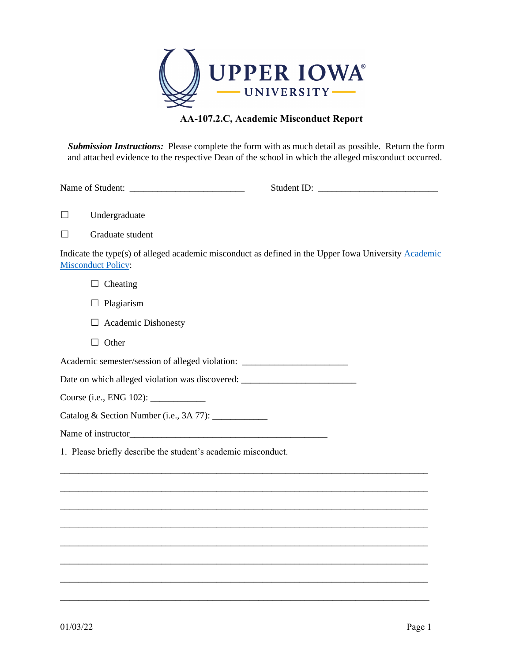

## **AA-107.2.C, Academic Misconduct Report**

*Submission Instructions:* Please complete the form with as much detail as possible. Return the form and attached evidence to the respective Dean of the school in which the alleged misconduct occurred.

Name of Student: \_\_\_\_\_\_\_\_\_\_\_\_\_\_\_\_\_\_\_\_\_\_\_\_\_ Student ID: \_\_\_\_\_\_\_\_\_\_\_\_\_\_\_\_\_\_\_\_\_\_\_\_\_\_

☐ Undergraduate

☐ Graduate student

Indicate the type(s) of alleged academic misconduct as defined in the Upper Iowa University [Academic](https://uiu.edu/about/policies/documents/107-Academic-Misconduct-Policy-11-27-18.pdf)  [Misconduct](https://uiu.edu/about/policies/documents/107-Academic-Misconduct-Policy-11-27-18.pdf) Policy:

\_\_\_\_\_\_\_\_\_\_\_\_\_\_\_\_\_\_\_\_\_\_\_\_\_\_\_\_\_\_\_\_\_\_\_\_\_\_\_\_\_\_\_\_\_\_\_\_\_\_\_\_\_\_\_\_\_\_\_\_\_\_\_\_\_\_\_\_\_\_\_\_\_\_\_\_\_\_\_\_

\_\_\_\_\_\_\_\_\_\_\_\_\_\_\_\_\_\_\_\_\_\_\_\_\_\_\_\_\_\_\_\_\_\_\_\_\_\_\_\_\_\_\_\_\_\_\_\_\_\_\_\_\_\_\_\_\_\_\_\_\_\_\_\_\_\_\_\_\_\_\_\_\_\_\_\_\_\_\_\_

\_\_\_\_\_\_\_\_\_\_\_\_\_\_\_\_\_\_\_\_\_\_\_\_\_\_\_\_\_\_\_\_\_\_\_\_\_\_\_\_\_\_\_\_\_\_\_\_\_\_\_\_\_\_\_\_\_\_\_\_\_\_\_\_\_\_\_\_\_\_\_\_\_\_\_\_\_\_\_\_

\_\_\_\_\_\_\_\_\_\_\_\_\_\_\_\_\_\_\_\_\_\_\_\_\_\_\_\_\_\_\_\_\_\_\_\_\_\_\_\_\_\_\_\_\_\_\_\_\_\_\_\_\_\_\_\_\_\_\_\_\_\_\_\_\_\_\_\_\_\_\_\_\_\_\_\_\_\_\_\_

\_\_\_\_\_\_\_\_\_\_\_\_\_\_\_\_\_\_\_\_\_\_\_\_\_\_\_\_\_\_\_\_\_\_\_\_\_\_\_\_\_\_\_\_\_\_\_\_\_\_\_\_\_\_\_\_\_\_\_\_\_\_\_\_\_\_\_\_\_\_\_\_\_\_\_\_\_\_\_\_

\_\_\_\_\_\_\_\_\_\_\_\_\_\_\_\_\_\_\_\_\_\_\_\_\_\_\_\_\_\_\_\_\_\_\_\_\_\_\_\_\_\_\_\_\_\_\_\_\_\_\_\_\_\_\_\_\_\_\_\_\_\_\_\_\_\_\_\_\_\_\_\_\_\_\_\_\_\_\_\_

\_\_\_\_\_\_\_\_\_\_\_\_\_\_\_\_\_\_\_\_\_\_\_\_\_\_\_\_\_\_\_\_\_\_\_\_\_\_\_\_\_\_\_\_\_\_\_\_\_\_\_\_\_\_\_\_\_\_\_\_\_\_\_\_\_\_\_\_\_\_\_\_\_\_\_\_\_\_\_\_

\_\_\_\_\_\_\_\_\_\_\_\_\_\_\_\_\_\_\_\_\_\_\_\_\_\_\_\_\_\_\_\_\_\_\_\_\_\_\_\_\_\_\_\_\_\_\_\_\_\_\_\_\_\_\_\_\_\_\_\_\_\_\_\_\_\_\_\_\_\_\_\_\_\_\_\_\_\_\_\_

 $\Box$  Cheating

- □ Plagiarism
- ☐ Academic Dishonesty
- □ Other

Academic semester/session of alleged violation: \_\_\_\_\_\_\_\_\_\_\_\_\_\_\_\_\_\_\_\_\_\_\_\_\_\_\_\_\_\_\_\_

Date on which alleged violation was discovered: \_\_\_\_\_\_\_\_\_\_\_\_\_\_\_\_\_\_\_\_\_\_\_\_\_\_\_\_\_\_\_\_\_

Course (i.e., ENG 102): \_\_\_\_\_\_\_\_\_\_\_\_

Catalog & Section Number (i.e., 3A 77): \_\_\_\_\_\_\_\_\_\_\_\_

Name of instructor

1. Please briefly describe the student's academic misconduct.